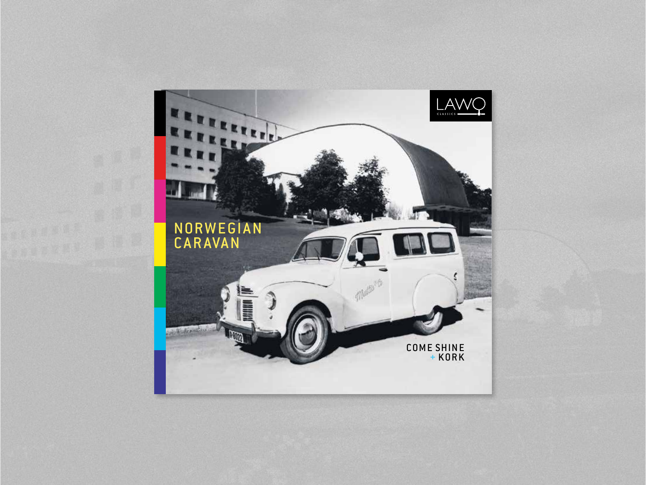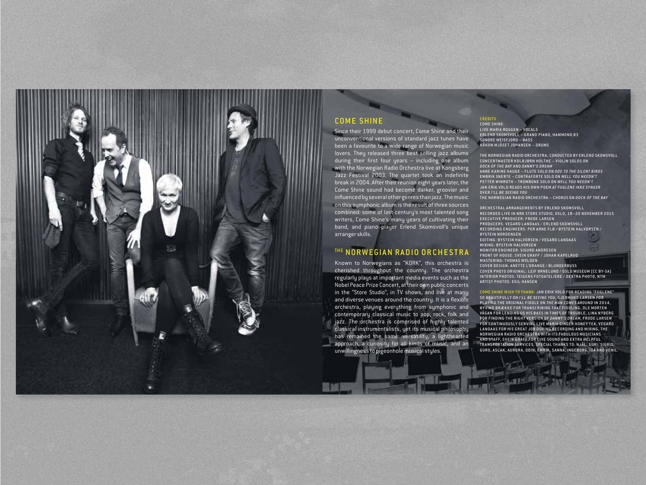

## COME SHINE

Since their 1999 debut concert, Come Shine and their unconventional versions of standard jazz tunes have been a favourite to a wide range of Norwegian music lovers. They released three best selling jazz albums during their first four years – including one album with the Norwegian Radio Orchestra live at Kongsberg Jazz Festival 2003. The quartet took an indefinite break in 2004. After their reunion eight years later, the Come Shine sound had become darker, groovier and influenced by several other genres than jazz. The music on this symphonic album is the result of three sources combined: some of last century's most talented song writers, Come Shine's many years of cultivating their band, and piano player Erlend Skomsvoll's unique arranger skills.

## THE NORWEGIAN RADIO ORCHESTRA

Known to Norwegians as "KORK", this orchestra is cherished throughout the country. The orchestra regularly plays at important media events such as the Nobel Peace Prize Concert, at their own public concerts in the "Store Studio", in TV shows, and live at many and diverse venues around the country. It is a flexible orchestra, playing everything from symphonic and contemporary classical music to pop, rock, folk and jazz. The orchestra is comprised of highly talented classical instrumentalists, yet its musical philosophy has remained the same: versatility, a lighthearted approach, a curiosity for all kinds of music, and an unwillingness to pigeonhole musical styles.

## **CREDITS**

C OME SHINE: LIVE MARIA ROGGEN – VOCALS ERLEND SKOMSVOLL – GRAND PIANO, HAMMOND B3 SONDRE MEISFJORD – BASS HÅKON MJÅSET JOHANSEN – DRUMS

THE NORWEGIAN RADIO ORCHESTRA, CONDUCTED BY ERLEND SKOMSVOLL CONCERTMASTER KOLBJØRN HOLTHE – VIOLIN SOLOS ON *DOCK OF THE BAY* AND *DANNY'S DREAM* ANNE KARINE HAUGE – FLUTE SOLO ON *ODE TO THE SILENT BIRDS* EMBRIK SNERTE – CONTRAFORTE SOLO ON *WELL YOU NEEDN'T* PETTER WINROTH – TROMBONE SOLO ON *WELL YOU NEEDN'T* JAN ERIK VOLD READS HIS OWN POEM *AT FUGLENE IKKE SYNGER* OVER *I'LL BE SEEING YOU* THE NORWEGIAN RADIO ORCHESTRA – CHORUS ON *DOCK OF THE BAY*

ORCHESTRAL ARRANGEMENTS BY ERLEND SKOMSVOLL RECORDED LIVE IN NRK STORE STUDIO, OSLO, 18-20 NOVEMBER 2015 EXECUTIVE PRODUCER: FRODE LARSEN PRODUCERS: VEGARD LANDAAS / ERLEND SKOMSVOLL RECORDING ENGINEERS: PER ARNE FLO / OYSTEIN HALVORSEN / ØYSTEIN NORDENGEN EDITING: ØYSTEIN HALVORSEN / VEGARD LANDAAS MIXING: ØYSTEIN HALVORSEN MONITOR ENGINEER: SIGURD ANDRESEN FRONT OF HOUSE: SVEIN GRAFF / JOHAN KAPELRUD MASTERING: THOMAS WOLDEN COVER DESIGN: ANETTE L'ORANGE / BLUNDERBUSS COVER PHOTO ORIGINAL: LEIF ØRNELUND / OSLO MUSEUM (CC BY-SA) INTERIOR PHOTOS: TEIGENS FOTOATELIERE / DEXTRA PHOTO, NTM ARTIST PHOTOS: EGIL HANSEN

COME SHINE WISH TO THANK: JAN ERIK VOLD FOR READING "FUGLENE" SO BEAUTIFULLY ON *I'LL BE SEEING YOU*, GJERMUND LARSEN FOR PLAYING THE ORIGINAL FIDDLE ON *THE MAN COMES AROUND* IN 2014 , ØYVIND BRÆKKE FOR TRANSCRIBING THAT FIDDLING, OLE MORTEN VÅ GAN FOR LENDING US HIS BASS IN TIMES OF TROUBLE, LINA NYBERG FOR FINDING THE RIGHT VERSION OF *DANNY'S DREAM*, FRODE LARSEN FOR CONTINUOUSLY SERVING LIVE MARIA GINGER HONEY TEA, VEGARD LANDAAS FOR HIS GREAT JOB DURING RECORDING AND MIXING, THE NOR WEGIAN RADIO OR CHESTRA WITH ITS FABULOUS MUSICIANS AND STAFF, SVEIN GRAFF FOR LIVE SOUND AND EXTRA HELPFUL TRANSPORTATION SERVICES, SPECIAL THANKS TO: N JÅL GURI, SIGRID, GURO, ASLAK, AURORA, ODIN, EMRIK, SANNA, INGEBORG, IDA AND VENIL.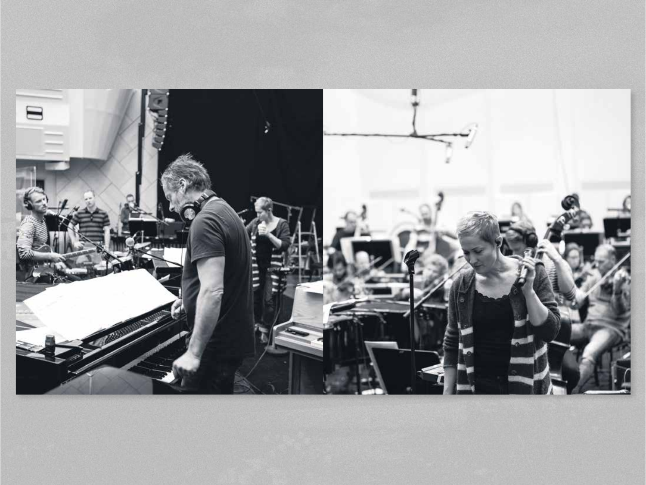